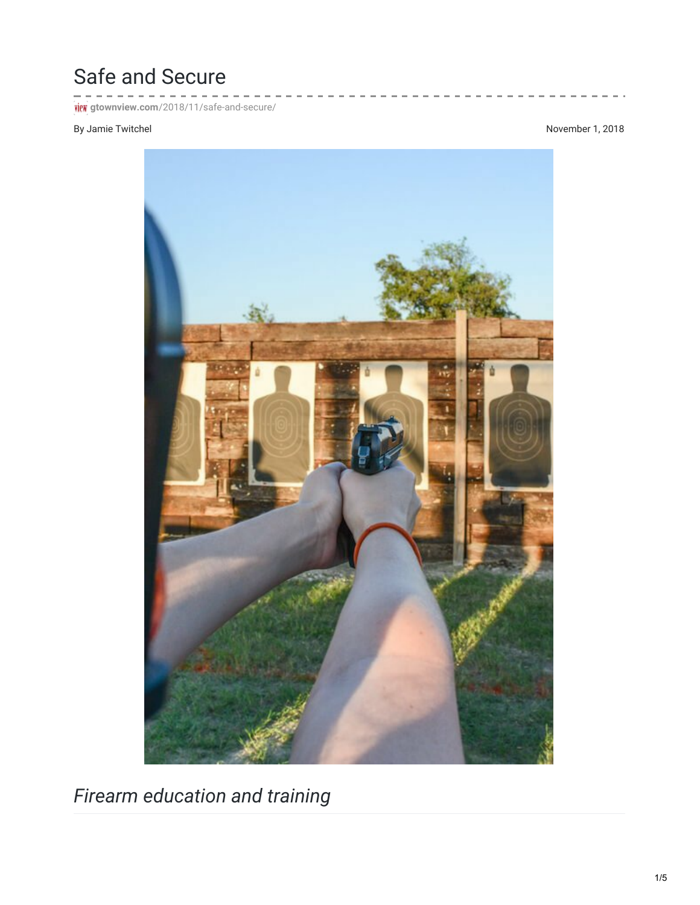## Safe and Secure

 $\sim$   $^{\circ}$ **FICK** gtownview.com[/2018/11/safe-and-secure/](http://gtownview.com/2018/11/safe-and-secure/)

## By Jamie Twitchel November 1, 2018



*Firearm education and training*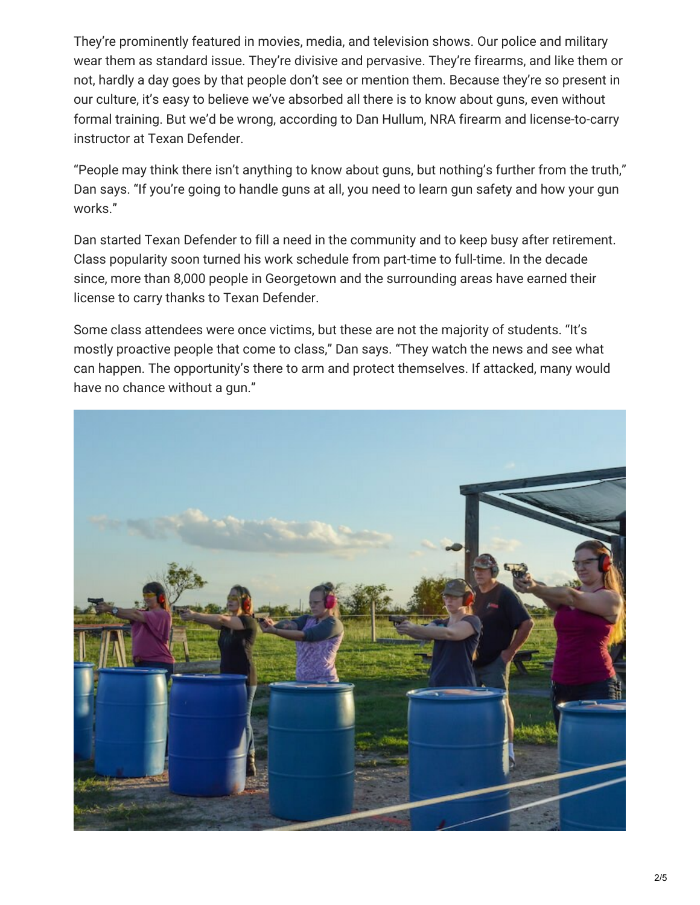They're prominently featured in movies, media, and television shows. Our police and military wear them as standard issue. They're divisive and pervasive. They're firearms, and like them or not, hardly a day goes by that people don't see or mention them. Because they're so present in our culture, it's easy to believe we've absorbed all there is to know about guns, even without formal training. But we'd be wrong, according to Dan Hullum, NRA firearm and license-to-carry instructor at Texan Defender.

"People may think there isn't anything to know about guns, but nothing's further from the truth," Dan says. "If you're going to handle guns at all, you need to learn gun safety and how your gun works."

Dan started Texan Defender to fill a need in the community and to keep busy after retirement. Class popularity soon turned his work schedule from part-time to full-time. In the decade since, more than 8,000 people in Georgetown and the surrounding areas have earned their license to carry thanks to Texan Defender.

Some class attendees were once victims, but these are not the majority of students. "It's mostly proactive people that come to class," Dan says. "They watch the news and see what can happen. The opportunity's there to arm and protect themselves. If attacked, many would have no chance without a gun."

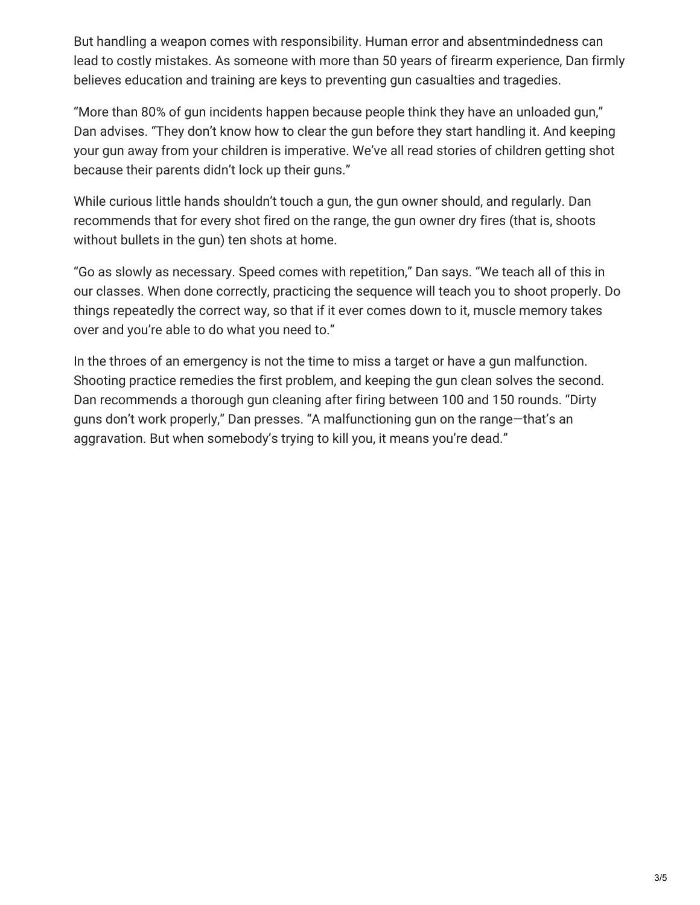But handling a weapon comes with responsibility. Human error and absentmindedness can lead to costly mistakes. As someone with more than 50 years of firearm experience, Dan firmly believes education and training are keys to preventing gun casualties and tragedies.

"More than 80% of gun incidents happen because people think they have an unloaded gun," Dan advises. "They don't know how to clear the gun before they start handling it. And keeping your gun away from your children is imperative. We've all read stories of children getting shot because their parents didn't lock up their guns."

While curious little hands shouldn't touch a gun, the gun owner should, and regularly. Dan recommends that for every shot fired on the range, the gun owner dry fires (that is, shoots without bullets in the gun) ten shots at home.

"Go as slowly as necessary. Speed comes with repetition," Dan says. "We teach all of this in our classes. When done correctly, practicing the sequence will teach you to shoot properly. Do things repeatedly the correct way, so that if it ever comes down to it, muscle memory takes over and you're able to do what you need to."

In the throes of an emergency is not the time to miss a target or have a gun malfunction. Shooting practice remedies the first problem, and keeping the gun clean solves the second. Dan recommends a thorough gun cleaning after firing between 100 and 150 rounds. "Dirty guns don't work properly," Dan presses. "A malfunctioning gun on the range—that's an aggravation. But when somebody's trying to kill you, it means you're dead."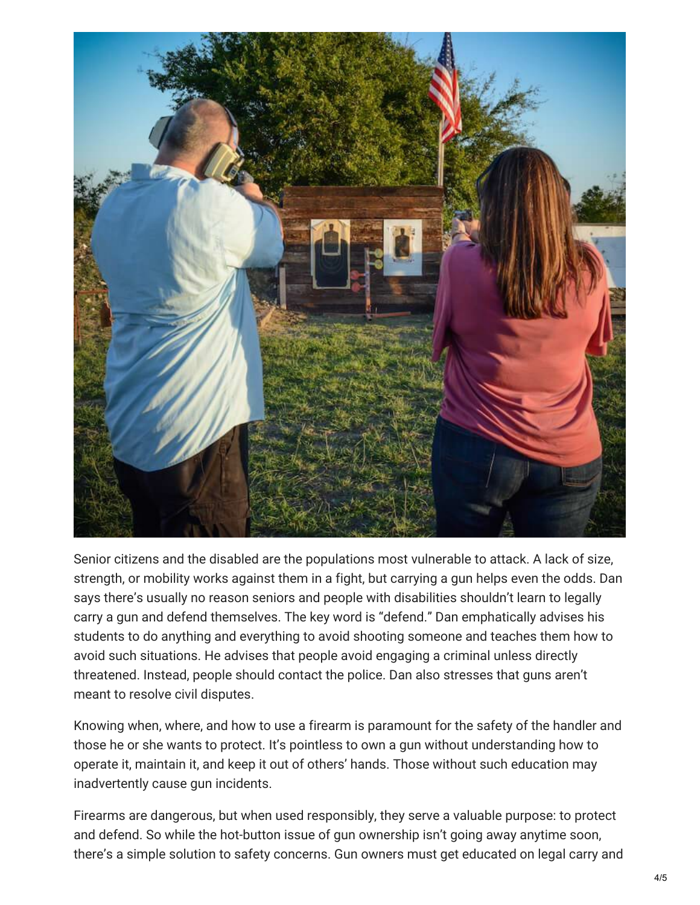

Senior citizens and the disabled are the populations most vulnerable to attack. A lack of size, strength, or mobility works against them in a fight, but carrying a gun helps even the odds. Dan says there's usually no reason seniors and people with disabilities shouldn't learn to legally carry a gun and defend themselves. The key word is "defend." Dan emphatically advises his students to do anything and everything to avoid shooting someone and teaches them how to avoid such situations. He advises that people avoid engaging a criminal unless directly threatened. Instead, people should contact the police. Dan also stresses that guns aren't meant to resolve civil disputes.

Knowing when, where, and how to use a firearm is paramount for the safety of the handler and those he or she wants to protect. It's pointless to own a gun without understanding how to operate it, maintain it, and keep it out of others' hands. Those without such education may inadvertently cause gun incidents.

Firearms are dangerous, but when used responsibly, they serve a valuable purpose: to protect and defend. So while the hot-button issue of gun ownership isn't going away anytime soon, there's a simple solution to safety concerns. Gun owners must get educated on legal carry and